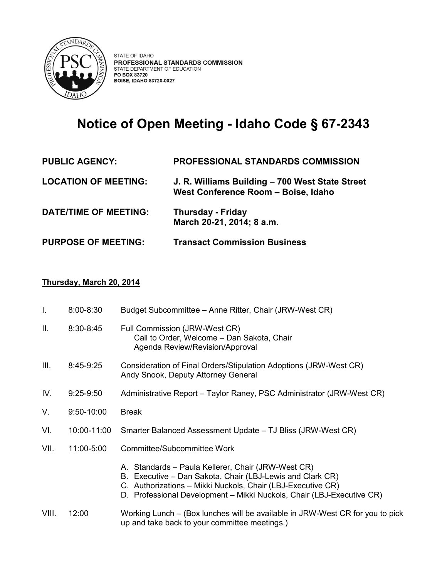

## **Notice of Open Meeting - Idaho Code § 67-2343**

| <b>PUBLIC AGENCY:</b>        | <b>PROFESSIONAL STANDARDS COMMISSION</b>                                               |
|------------------------------|----------------------------------------------------------------------------------------|
| <b>LOCATION OF MEETING:</b>  | J. R. Williams Building – 700 West State Street<br>West Conference Room - Boise, Idaho |
| <b>DATE/TIME OF MEETING:</b> | <b>Thursday - Friday</b><br>March 20-21, 2014; 8 a.m.                                  |
| <b>PURPOSE OF MEETING:</b>   | <b>Transact Commission Business</b>                                                    |

## **Thursday, March 20, 2014**

| $\mathbf{I}$ . | 8:00-8:30     | Budget Subcommittee - Anne Ritter, Chair (JRW-West CR)                                                                                                                                                                                                  |
|----------------|---------------|---------------------------------------------------------------------------------------------------------------------------------------------------------------------------------------------------------------------------------------------------------|
| Ш.             | $8:30 - 8:45$ | Full Commission (JRW-West CR)<br>Call to Order, Welcome - Dan Sakota, Chair<br>Agenda Review/Revision/Approval                                                                                                                                          |
| III.           | 8:45-9:25     | Consideration of Final Orders/Stipulation Adoptions (JRW-West CR)<br>Andy Snook, Deputy Attorney General                                                                                                                                                |
| IV.            | $9:25-9:50$   | Administrative Report – Taylor Raney, PSC Administrator (JRW-West CR)                                                                                                                                                                                   |
| V.             | 9:50-10:00    | <b>Break</b>                                                                                                                                                                                                                                            |
| VI.            | 10:00-11:00   | Smarter Balanced Assessment Update – TJ Bliss (JRW-West CR)                                                                                                                                                                                             |
| VII.           | 11:00-5:00    | Committee/Subcommittee Work                                                                                                                                                                                                                             |
|                |               | A. Standards - Paula Kellerer, Chair (JRW-West CR)<br>B. Executive - Dan Sakota, Chair (LBJ-Lewis and Clark CR)<br>C. Authorizations - Mikki Nuckols, Chair (LBJ-Executive CR)<br>D. Professional Development - Mikki Nuckols, Chair (LBJ-Executive CR) |
| VIII.          | 12:00         | Working Lunch – (Box lunches will be available in JRW-West CR for you to pick<br>up and take back to your committee meetings.)                                                                                                                          |